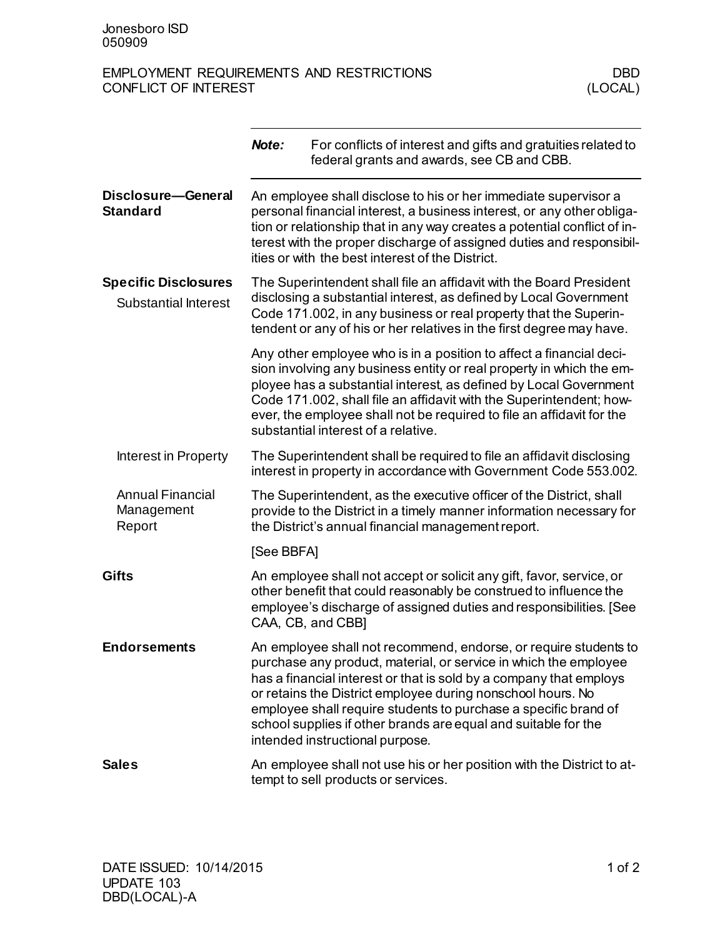## EMPLOYMENT REQUIREMENTS AND RESTRICTIONS DBD<br>CONFLICT OF INTEREST (LOCAL) CONFLICT OF INTEREST

|                                                            | Note:                                                                                                                                                                                                                                                                                                                                             | For conflicts of interest and gifts and gratuities related to<br>federal grants and awards, see CB and CBB.                                                                                                                                                                                                                                                                                                                                       |  |
|------------------------------------------------------------|---------------------------------------------------------------------------------------------------------------------------------------------------------------------------------------------------------------------------------------------------------------------------------------------------------------------------------------------------|---------------------------------------------------------------------------------------------------------------------------------------------------------------------------------------------------------------------------------------------------------------------------------------------------------------------------------------------------------------------------------------------------------------------------------------------------|--|
| Disclosure-General<br><b>Standard</b>                      | An employee shall disclose to his or her immediate supervisor a<br>personal financial interest, a business interest, or any other obliga-<br>tion or relationship that in any way creates a potential conflict of in-<br>terest with the proper discharge of assigned duties and responsibil-<br>ities or with the best interest of the District. |                                                                                                                                                                                                                                                                                                                                                                                                                                                   |  |
| <b>Specific Disclosures</b><br><b>Substantial Interest</b> | The Superintendent shall file an affidavit with the Board President<br>disclosing a substantial interest, as defined by Local Government<br>Code 171.002, in any business or real property that the Superin-<br>tendent or any of his or her relatives in the first degree may have.                                                              |                                                                                                                                                                                                                                                                                                                                                                                                                                                   |  |
|                                                            |                                                                                                                                                                                                                                                                                                                                                   | Any other employee who is in a position to affect a financial deci-<br>sion involving any business entity or real property in which the em-<br>ployee has a substantial interest, as defined by Local Government<br>Code 171.002, shall file an affidavit with the Superintendent; how-<br>ever, the employee shall not be required to file an affidavit for the<br>substantial interest of a relative.                                           |  |
| Interest in Property                                       |                                                                                                                                                                                                                                                                                                                                                   | The Superintendent shall be required to file an affidavit disclosing<br>interest in property in accordance with Government Code 553.002.                                                                                                                                                                                                                                                                                                          |  |
| <b>Annual Financial</b><br>Management<br>Report            |                                                                                                                                                                                                                                                                                                                                                   | The Superintendent, as the executive officer of the District, shall<br>provide to the District in a timely manner information necessary for<br>the District's annual financial management report.                                                                                                                                                                                                                                                 |  |
|                                                            | [See BBFA]                                                                                                                                                                                                                                                                                                                                        |                                                                                                                                                                                                                                                                                                                                                                                                                                                   |  |
| <b>Gifts</b>                                               |                                                                                                                                                                                                                                                                                                                                                   | An employee shall not accept or solicit any gift, favor, service, or<br>other benefit that could reasonably be construed to influence the<br>employee's discharge of assigned duties and responsibilities. [See<br>CAA, CB, and CBB]                                                                                                                                                                                                              |  |
| <b>Endorsements</b>                                        |                                                                                                                                                                                                                                                                                                                                                   | An employee shall not recommend, endorse, or require students to<br>purchase any product, material, or service in which the employee<br>has a financial interest or that is sold by a company that employs<br>or retains the District employee during nonschool hours. No<br>employee shall require students to purchase a specific brand of<br>school supplies if other brands are equal and suitable for the<br>intended instructional purpose. |  |
| <b>Sales</b>                                               |                                                                                                                                                                                                                                                                                                                                                   | An employee shall not use his or her position with the District to at-<br>tempt to sell products or services.                                                                                                                                                                                                                                                                                                                                     |  |